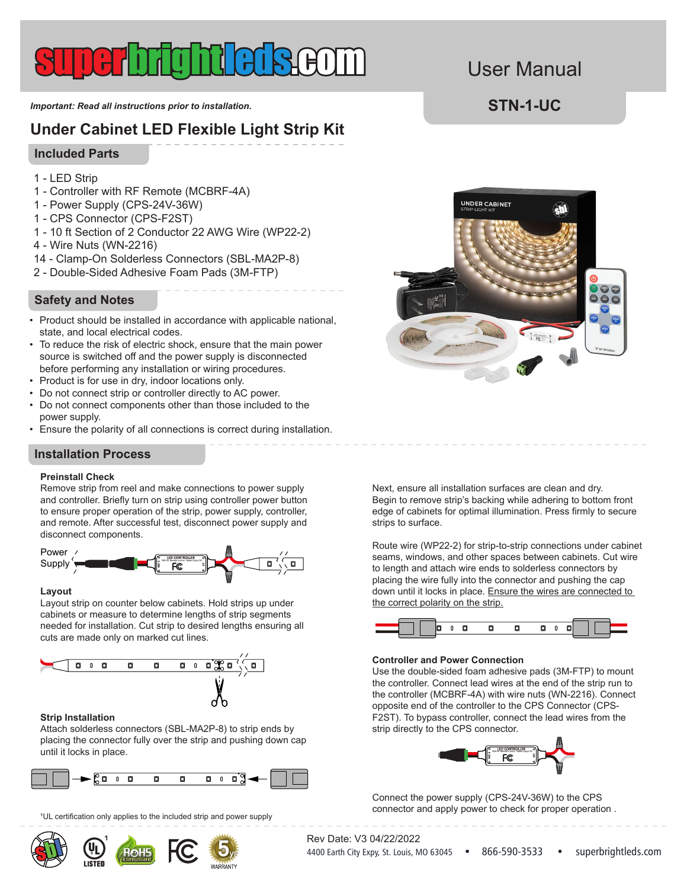#### *Important: Read all instructions prior to installation.* **STN-1-UC**

## **Under Cabinet LED Flexible Light Strip Kit**

#### **Included Parts**

- 1 LED Strip
- 1 Controller with RF Remote (MCBRF-4A)
- 1 Power Supply (CPS-24V-36W)
- 1 CPS Connector (CPS-F2ST)
- 1 10 ft Section of 2 Conductor 22 AWG Wire (WP22-2)
- 4 Wire Nuts (WN-2216)
- 14 Clamp-On Solderless Connectors (SBL-MA2P-8)
- 2 Double-Sided Adhesive Foam Pads (3M-FTP)

## **Safety and Notes**

- Product should be installed in accordance with applicable national, state, and local electrical codes.
- To reduce the risk of electric shock, ensure that the main power source is switched off and the power supply is disconnected before performing any installation or wiring procedures.
- Product is for use in dry, indoor locations only.
- Do not connect strip or controller directly to AC power.
- Do not connect components other than those included to the power supply.
- $\bullet~$  Ensure the polarity of all connections is correct during installation.

 $\mathcal{S}=\mathcal{S}=\mathcal{S}$ 

### **Installation Process**

#### **Preinstall Check**

Remove strip from reel and make connections to power supply and controller. Briefly turn on strip using controller power button to ensure proper operation of the strip, power supply, controller, and remote. After successful test, disconnect power supply and disconnect components.



#### **Layout**

Layout strip on counter below cabinets. Hold strips up under cabinets or measure to determine lengths of strip segments needed for installation. Cut strip to desired lengths ensuring all cuts are made only on marked cut lines.



#### **Strip Installation**

Attach solderless connectors (SBL-MA2P-8) to strip ends by placing the connector fully over the strip and pushing down cap until it locks in place.



<sup>1</sup>UL certification only applies to the included strip and power supply

1<br>|



User Manual

With RF Remote Control. Rated Output 5A Next, ensure all installation surfaces are clean and dry. Begin to remove strip's backing while adhering to bottom front edge of cabinets for optimal illumination. Press firmly to secure strips to surface.

> Route wire (WP22-2) for strip-to-strip connections under cabinet seams, windows, and other spaces between cabinets. Cut wire to length and attach wire ends to solderless connectors by placing the wire fully into the connector and pushing the cap down until it locks in place. Ensure the wires are connected to the correct polarity on the strip.



#### **Controller and Power Connection**

and dominately (indepty) with the ride (WIVEL 10). Composite end of the controller to the CPS Connector (CPS-EXT). To bypass controller, connect the lead wires from the Use the double-sided foam adhesive pads (3M-FTP) to mount the controller. Connect lead wires at the end of the strip run to the controller (MCBRF-4A) with wire nuts (WN-2216). Connect strip directly to the CPS connector.



Connect the power supply (CPS-24V-36W) to the CPS connector and apply power to check for proper operation .